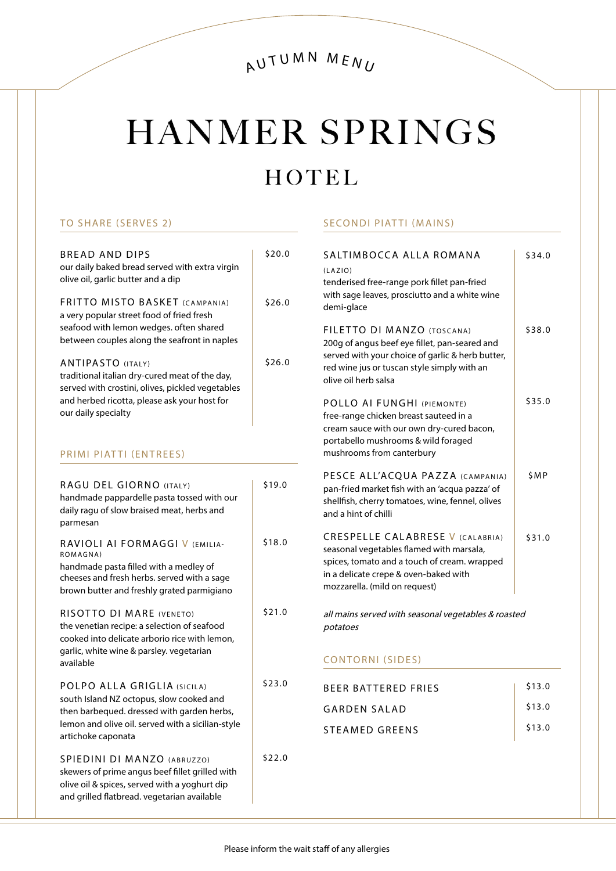### AUTUMN MENU

# HANMER SPRINGS

## HOTEL

SECONDI PIATTI (MAINS)

#### TO SHARE (SERVES 2)

| <b>BREAD AND DIPS</b><br>our daily baked bread served with extra virgin<br>olive oil, garlic butter and a dip<br>FRITTO MISTO BASKET (CAMPANIA)                                                                                                                                                                        | \$20.0<br>\$26.0 | SALTIMBOCCA ALLA ROMANA<br>(LAZIO)<br>tenderised free-range pork fillet pan-fried<br>with sage leaves, prosciutto and a white wine<br>demi-glace                                                                                     | \$34.0           |
|------------------------------------------------------------------------------------------------------------------------------------------------------------------------------------------------------------------------------------------------------------------------------------------------------------------------|------------------|--------------------------------------------------------------------------------------------------------------------------------------------------------------------------------------------------------------------------------------|------------------|
| a very popular street food of fried fresh<br>seafood with lemon wedges. often shared<br>between couples along the seafront in naples<br><b>ANTIPASTO (ITALY)</b><br>traditional italian dry-cured meat of the day,<br>served with crostini, olives, pickled vegetables<br>and herbed ricotta, please ask your host for | \$26.0           | FILETTO DI MANZO (TOSCANA)<br>200g of angus beef eye fillet, pan-seared and<br>served with your choice of garlic & herb butter,<br>red wine jus or tuscan style simply with an<br>olive oil herb salsa<br>POLLO AI FUNGHI (PIEMONTE) | \$38.0<br>\$35.0 |
| our daily specialty<br>PRIMI PIATTI (ENTREES)                                                                                                                                                                                                                                                                          |                  | free-range chicken breast sauteed in a<br>cream sauce with our own dry-cured bacon,<br>portabello mushrooms & wild foraged<br>mushrooms from canterbury                                                                              |                  |
| RAGU DEL GIORNO (ITALY)<br>handmade pappardelle pasta tossed with our<br>daily ragu of slow braised meat, herbs and<br>parmesan                                                                                                                                                                                        | \$19.0           | PESCE ALL'ACQUA PAZZA (CAMPANIA)<br>pan-fried market fish with an 'acqua pazza' of<br>shellfish, cherry tomatoes, wine, fennel, olives<br>and a hint of chilli                                                                       | <b>SMP</b>       |
| RAVIOLI AI FORMAGGI V (EMILIA-<br>ROMAGNA)<br>handmade pasta filled with a medley of<br>cheeses and fresh herbs. served with a sage<br>brown butter and freshly grated parmigiano                                                                                                                                      | \$18.0           | <b>CRESPELLE CALABRESE V (CALABRIA)</b><br>seasonal vegetables flamed with marsala,<br>spices, tomato and a touch of cream. wrapped<br>in a delicate crepe & oven-baked with<br>mozzarella. (mild on request)                        | \$31.0           |
| RISOTTO DI MARE (VENETO)<br>the venetian recipe: a selection of seafood<br>cooked into delicate arborio rice with lemon,<br>garlic, white wine & parsley. vegetarian<br>available                                                                                                                                      | \$21.0           | all mains served with seasonal vegetables & roasted<br>potatoes<br><b>CONTORNI (SIDES)</b>                                                                                                                                           |                  |
| POLPO ALLA GRIGLIA (SICILA)                                                                                                                                                                                                                                                                                            | \$23.0           | <b>BEER BATTERED FRIES</b>                                                                                                                                                                                                           | \$13.0           |
| south Island NZ octopus, slow cooked and<br>then barbequed. dressed with garden herbs,                                                                                                                                                                                                                                 |                  | <b>GARDEN SALAD</b>                                                                                                                                                                                                                  | \$13.0           |
| lemon and olive oil. served with a sicilian-style<br>artichoke caponata                                                                                                                                                                                                                                                |                  | <b>STEAMED GREENS</b>                                                                                                                                                                                                                | \$13.0           |
| SPIEDINI DI MANZO (ABRUZZO)<br>skewers of prime angus beef fillet grilled with<br>olive oil & spices, served with a yoghurt dip<br>and grilled flatbread. vegetarian available                                                                                                                                         | \$22.0           |                                                                                                                                                                                                                                      |                  |